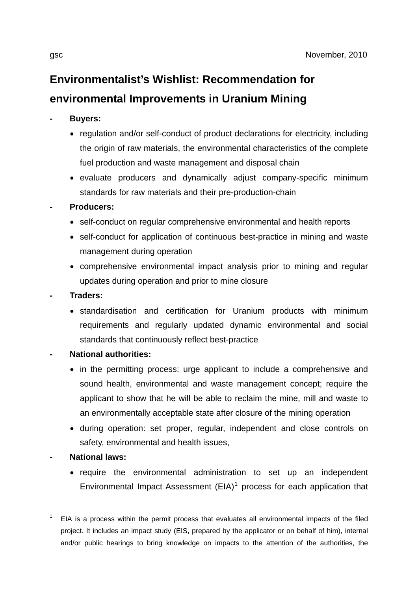## **Environmentalist's Wishlist: Recommendation for environmental Improvements in Uranium Mining**

- **Buyers:** 
	- regulation and/or self-conduct of product declarations for electricity, including the origin of raw materials, the environmental characteristics of the complete fuel production and waste management and disposal chain
	- evaluate producers and dynamically adjust company-specific minimum standards for raw materials and their pre-production-chain

## **- Producers:**

- self-conduct on regular comprehensive environmental and health reports
- self-conduct for application of continuous best-practice in mining and waste management during operation
- comprehensive environmental impact analysis prior to mining and regular updates during operation and prior to mine closure
- **Traders:** 
	- standardisation and certification for Uranium products with minimum requirements and regularly updated dynamic environmental and social standards that continuously reflect best-practice
- **National authorities:** 
	- in the permitting process: urge applicant to include a comprehensive and sound health, environmental and waste management concept; require the applicant to show that he will be able to reclaim the mine, mill and waste to an environmentally acceptable state after closure of the mining operation
	- during operation: set proper, regular, independent and close controls on safety, environmental and health issues,
- **National laws:**

<u>.</u>

• require the environmental administration to set up an independent Environmental Impact Assessment  $(EIA)^1$  $(EIA)^1$  process for each application that

<span id="page-0-0"></span><sup>1</sup> EIA is a process within the permit process that evaluates all environmental impacts of the filed project. It includes an impact study (EIS, prepared by the applicator or on behalf of him), internal and/or public hearings to bring knowledge on impacts to the attention of the authorities, the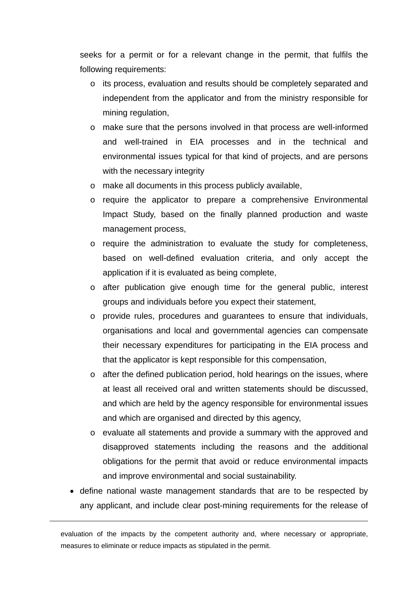seeks for a permit or for a relevant change in the permit, that fulfils the following requirements:

- o its process, evaluation and results should be completely separated and independent from the applicator and from the ministry responsible for mining regulation,
- o make sure that the persons involved in that process are well-informed and well-trained in EIA processes and in the technical and environmental issues typical for that kind of projects, and are persons with the necessary integrity
- o make all documents in this process publicly available,
- o require the applicator to prepare a comprehensive Environmental Impact Study, based on the finally planned production and waste management process,
- o require the administration to evaluate the study for completeness, based on well-defined evaluation criteria, and only accept the application if it is evaluated as being complete,
- o after publication give enough time for the general public, interest groups and individuals before you expect their statement,
- o provide rules, procedures and guarantees to ensure that individuals, organisations and local and governmental agencies can compensate their necessary expenditures for participating in the EIA process and that the applicator is kept responsible for this compensation,
- $\circ$  after the defined publication period, hold hearings on the issues, where at least all received oral and written statements should be discussed, and which are held by the agency responsible for environmental issues and which are organised and directed by this agency,
- o evaluate all statements and provide a summary with the approved and disapproved statements including the reasons and the additional obligations for the permit that avoid or reduce environmental impacts and improve environmental and social sustainability.
- define national waste management standards that are to be respected by any applicant, and include clear post-mining requirements for the release of

evaluation of the impacts by the competent authority and, where necessary or appropriate, measures to eliminate or reduce impacts as stipulated in the permit.

 $\overline{a}$